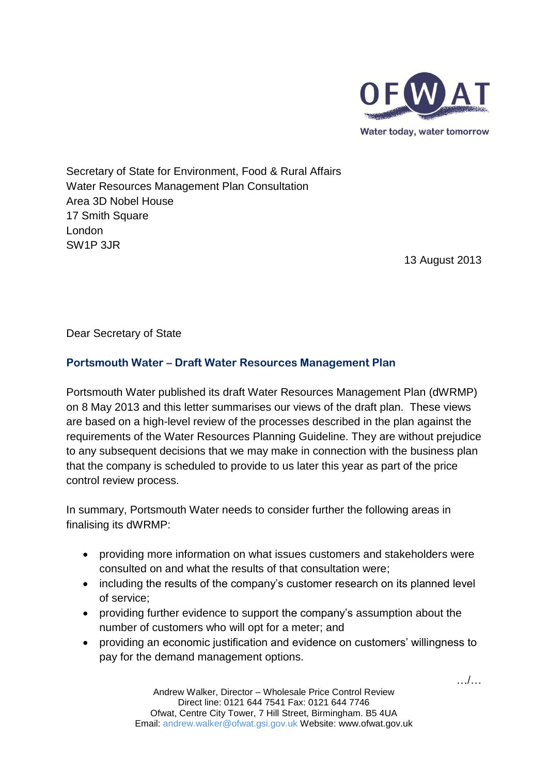

Secretary of State for Environment, Food & Rural Affairs Water Resources Management Plan Consultation Area 3D Nobel House 17 Smith Square London SW1P 3JR

13 August 2013

Dear Secretary of State

## **Portsmouth Water – Draft Water Resources Management Plan**

Portsmouth Water published its draft Water Resources Management Plan (dWRMP) on 8 May 2013 and this letter summarises our views of the draft plan. These views are based on a high-level review of the processes described in the plan against the requirements of the Water Resources Planning Guideline. They are without prejudice to any subsequent decisions that we may make in connection with the business plan that the company is scheduled to provide to us later this year as part of the price control review process.

In summary, Portsmouth Water needs to consider further the following areas in finalising its dWRMP:

- providing more information on what issues customers and stakeholders were consulted on and what the results of that consultation were;
- including the results of the company's customer research on its planned level of service;
- providing further evidence to support the company's assumption about the number of customers who will opt for a meter; and
- providing an economic justification and evidence on customers' willingness to pay for the demand management options.

…/…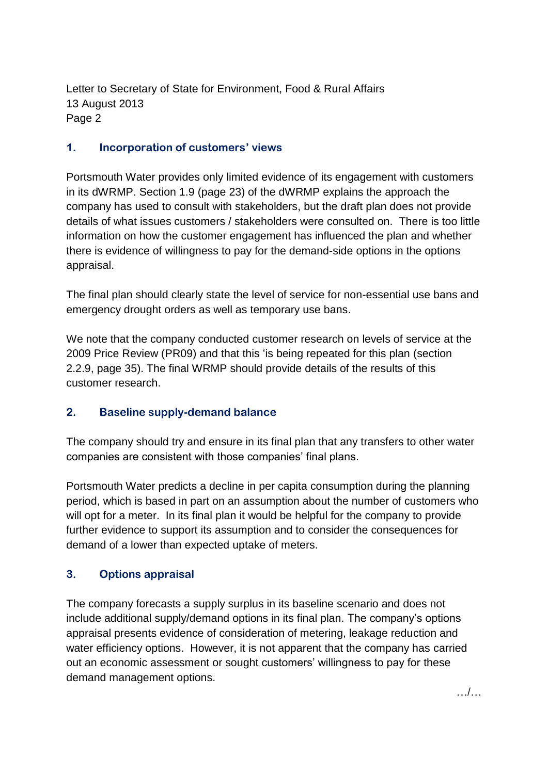Letter to Secretary of State for Environment, Food & Rural Affairs 13 August 2013 Page 2

## **1. Incorporation of customers' views**

Portsmouth Water provides only limited evidence of its engagement with customers in its dWRMP. Section 1.9 (page 23) of the dWRMP explains the approach the company has used to consult with stakeholders, but the draft plan does not provide details of what issues customers / stakeholders were consulted on. There is too little information on how the customer engagement has influenced the plan and whether there is evidence of willingness to pay for the demand-side options in the options appraisal.

The final plan should clearly state the level of service for non-essential use bans and emergency drought orders as well as temporary use bans.

We note that the company conducted customer research on levels of service at the 2009 Price Review (PR09) and that this 'is being repeated for this plan (section 2.2.9, page 35). The final WRMP should provide details of the results of this customer research.

## **2. Baseline supply-demand balance**

The company should try and ensure in its final plan that any transfers to other water companies are consistent with those companies' final plans.

Portsmouth Water predicts a decline in per capita consumption during the planning period, which is based in part on an assumption about the number of customers who will opt for a meter. In its final plan it would be helpful for the company to provide further evidence to support its assumption and to consider the consequences for demand of a lower than expected uptake of meters.

## **3. Options appraisal**

The company forecasts a supply surplus in its baseline scenario and does not include additional supply/demand options in its final plan. The company's options appraisal presents evidence of consideration of metering, leakage reduction and water efficiency options. However, it is not apparent that the company has carried out an economic assessment or sought customers' willingness to pay for these demand management options.